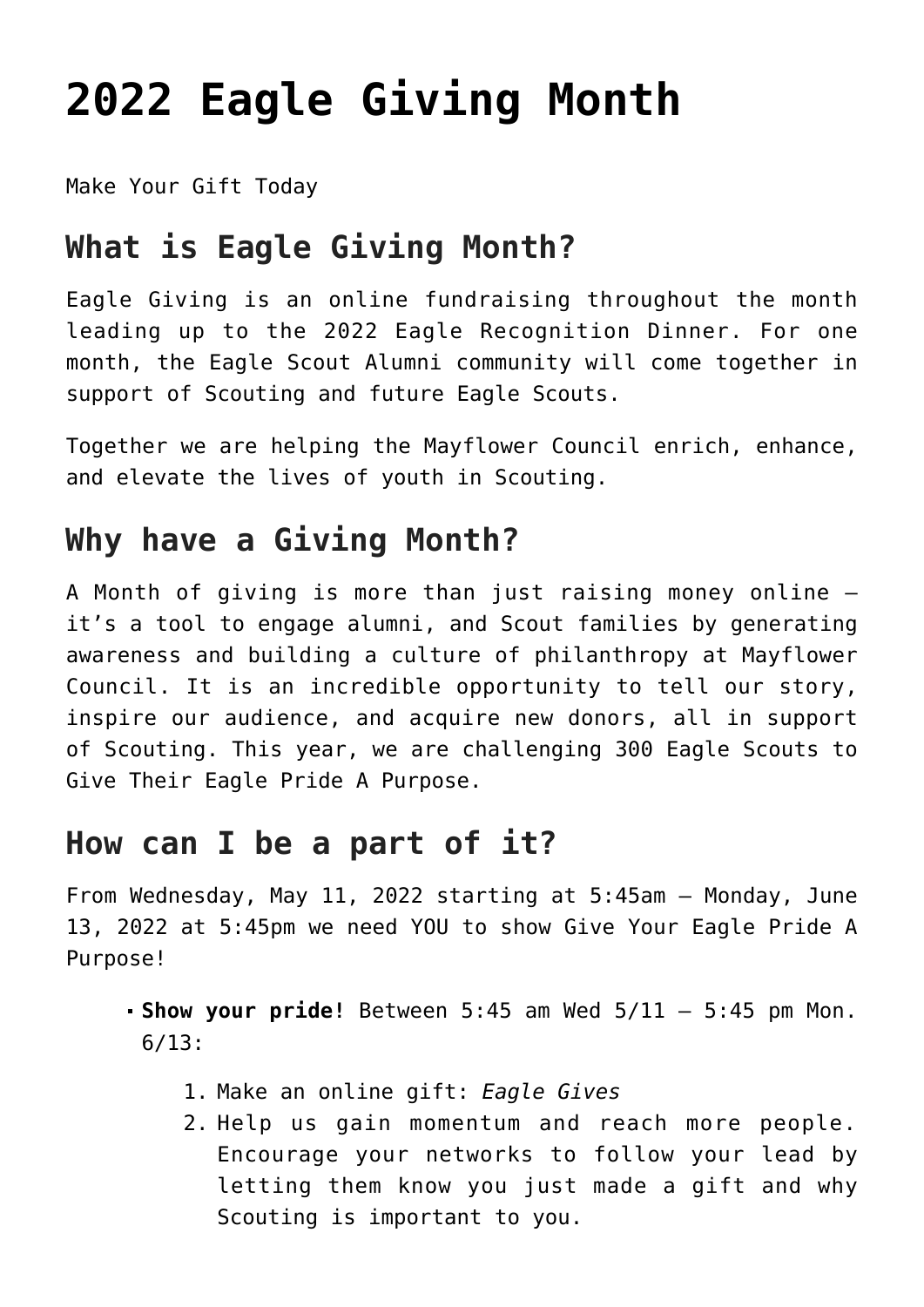# **[2022 Eagle Giving Month](https://www.mayflowerbsa.org/2022-eagle-giving-month/)**

[Make Your Gift Today](https://donations.scouting.org/#/council/251/appeal/5579)

# **What is Eagle Giving Month?**

Eagle Giving is an online fundraising throughout the month leading up to the 2022 Eagle Recognition Dinner. For one month, the Eagle Scout Alumni community will come together in support of Scouting and future Eagle Scouts.

Together we are helping the Mayflower Council enrich, enhance, and elevate the lives of youth in Scouting.

# **Why have a Giving Month?**

A Month of giving is more than just raising money online it's a tool to engage alumni, and Scout families by generating awareness and building a culture of philanthropy at Mayflower Council. It is an incredible opportunity to tell our story, inspire our audience, and acquire new donors, all in support of Scouting. This year, we are challenging 300 Eagle Scouts to Give Their Eagle Pride A Purpose.

#### **How can I be a part of it?**

From Wednesday, May 11, 2022 starting at 5:45am – Monday, June 13, 2022 at 5:45pm we need YOU to show Give Your Eagle Pride A Purpose!

- **Show your pride!** Between 5:45 am Wed 5/11 5:45 pm Mon. 6/13:
	- 1. Make an online gift: *[Eagle Gives](https://donations.scouting.org/#/council/251/appeal/5579)*
	- 2. Help us gain momentum and reach more people. Encourage your networks to follow your lead by letting them know you just made a gift and why Scouting is important to you.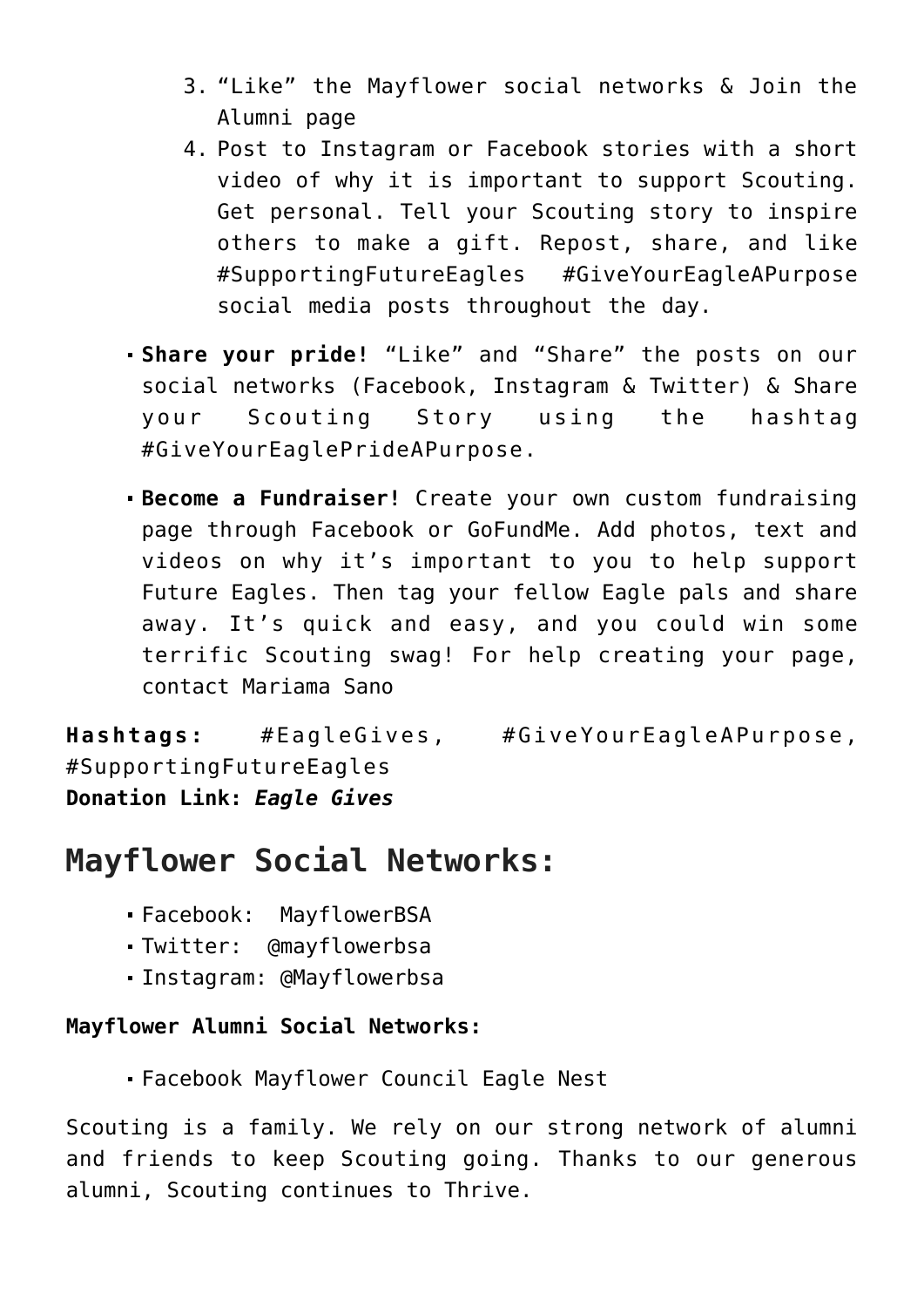- 3. "Like" the Mayflower social networks & Join the Alumni page
- 4. Post to Instagram or Facebook stories with a short video of why it is important to support Scouting. Get personal. Tell your Scouting story to inspire others to make a gift. Repost, share, and like #SupportingFutureEagles #GiveYourEagleAPurpose social media posts throughout the day.
- **Share your pride!** "Like" and "Share" the posts on our social networks (Facebook, Instagram & Twitter) & Share your Scouting Story using the hashtag #GiveYourEaglePrideAPurpose.
- **Become a Fundraiser!** Create your own custom fundraising page through Facebook or GoFundMe. Add photos, text and videos on why it's important to you to help support Future Eagles. Then tag your fellow Eagle pals and share away. It's quick and easy, and you could win some terrific Scouting swag! For help creating your page, contact [Mariama Sano](mailto:Mariama.Sano@scouting.org)

**Hashtags:** #EagleGives, #GiveYourEagleAPurpose, #SupportingFutureEagles **Donation Link:** *[Eagle Gives](https://donations.scouting.org/#/council/251/appeal/5579)*

### **Mayflower Social Networks:**

- Facebook: [MayflowerBSA](https://www.facebook.com/MayflowerBSA/)
- Twitter: [@mayflowerbsa](https://twitter.com/mayflowerbsa)
- Instagram: [@Mayflowerbsa](https://www.instagram.com/mayflowerbsa/)

#### **Mayflower Alumni Social Networks:**

Facebook [Mayflower Council Eagle Nest](https://www.facebook.com/groups/288360801278687/)

Scouting is a family. We rely on our strong network of alumni and friends to keep Scouting going. Thanks to our generous alumni, Scouting continues to Thrive.